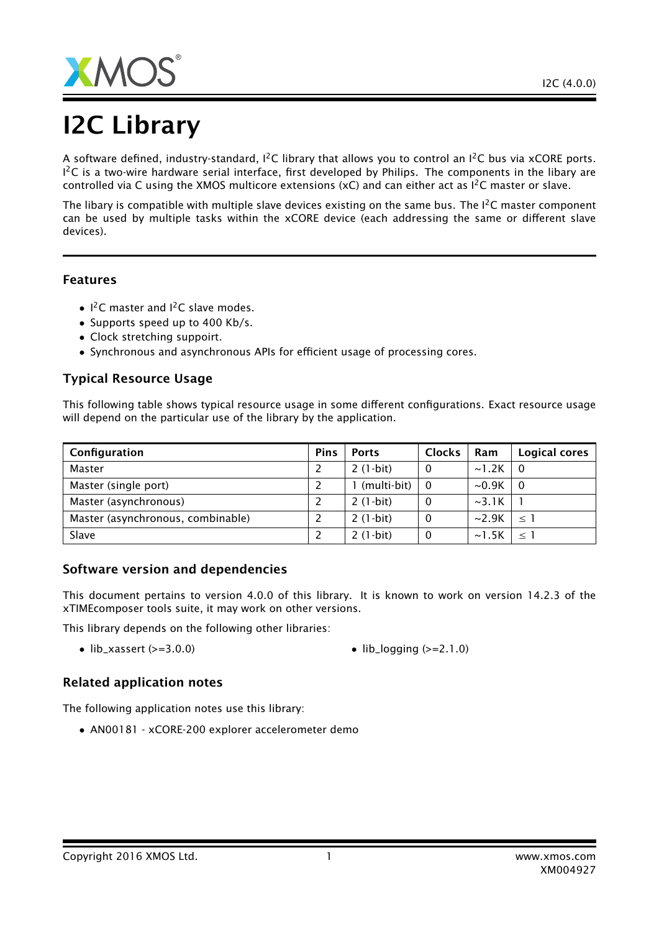

# I2C Library

A software defined, industry-standard,  $I^2C$  library that allows you to control an  $I^2C$  bus via xCORE ports.  $1^2$ C is a two-wire hardware serial interface, first developed by Philips. The components in the libary are controlled via C using the XMOS multicore extensions (xC) and can either act as  $I^2C$  master or slave.

The libary is compatible with multiple slave devices existing on the same bus. The  $1<sup>2</sup>C$  master component can be used by multiple tasks within the xCORE device (each addressing the same or different slave devices).

## Features

- $1^2C$  master and  $1^2C$  slave modes.
- Supports speed up to 400 Kb/s.
- Clock stretching suppoirt.
- Synchronous and asynchronous APIs for efficient usage of processing cores.

## Typical Resource Usage

This following table shows typical resource usage in some different configurations. Exact resource usage will depend on the particular use of the library by the application.

| Configuration                     | <b>Pins</b> | <b>Ports</b>  | <b>Clocks</b> | Ram         | Logical cores |
|-----------------------------------|-------------|---------------|---------------|-------------|---------------|
| Master                            |             | $2(1-bit)$    | $\Omega$      | $\sim$ 1.2K | - 0           |
| Master (single port)              |             | l (multi-bit) | - 0           | $\sim 0.9K$ | - 0           |
| Master (asynchronous)             |             | $2(1-bit)$    |               | $\sim$ 3.1K |               |
| Master (asynchronous, combinable) |             | $2(1-bit)$    | $\Omega$      | $\sim$ 2.9K | $\leq$ 1      |
| Slave                             |             | $2(1-bit)$    | $\Omega$      | $\sim$ 1.5K | $\leq$ 1      |

## Software version and dependencies

This document pertains to version 4.0.0 of this library. It is known to work on version 14.2.3 of the xTIMEcomposer tools suite, it may work on other versions.

This library depends on the following other libraries:

- lib\_xassert ( $>=$  3.0.0) lib\_logging ( $>=$  2.1.0)
	-

## Related application notes

The following application notes use this library:

• AN00181 - xCORE-200 explorer accelerometer demo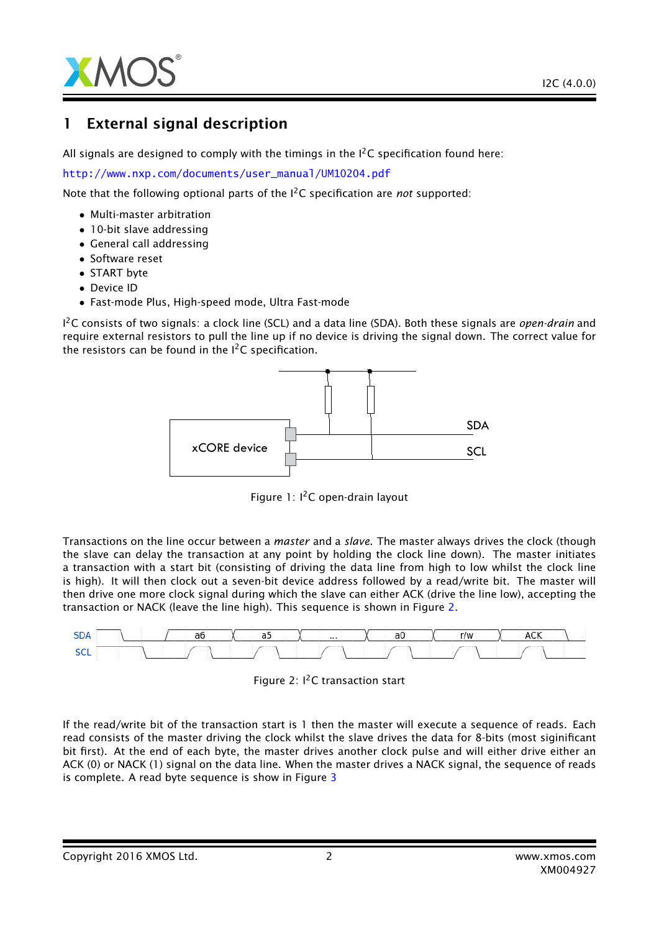

## 1 External signal description

All signals are designed to comply with the timings in the  $I^2C$  specification found here:

[http://www.nxp.com/documents/user\\_manual/UM10204.pdf](http://www.nxp.com/documents/user_manual/UM10204.pdf)

Note that the following optional parts of the I2C specification are *not* supported:

- Multi-master arbitration
- 10-bit slave addressing
- General call addressing
- Software reset
- START byte
- Device ID
- Fast-mode Plus, High-speed mode, Ultra Fast-mode

I <sup>2</sup>C consists of two signals: a clock line (SCL) and a data line (SDA). Both these signals are *open-drain* and require external resistors to pull the line up if no device is driving the signal down. The correct value for the resistors can be found in the  $I^2C$  specification.



Figure 1: I<sup>2</sup>C open-drain layout

Transactions on the line occur between a *master* and a *slave*. The master always drives the clock (though the slave can delay the transaction at any point by holding the clock line down). The master initiates a transaction with a start bit (consisting of driving the data line from high to low whilst the clock line is high). It will then clock out a seven-bit device address followed by a read/write bit. The master will then drive one more clock signal during which the slave can either ACK (drive the line low), accepting the transaction or NACK (leave the line high). This sequence is shown in Figure [2.](#page-1-0)



<span id="page-1-0"></span>

If the read/write bit of the transaction start is 1 then the master will execute a sequence of reads. Each read consists of the master driving the clock whilst the slave drives the data for 8-bits (most siginificant bit first). At the end of each byte, the master drives another clock pulse and will either drive either an ACK (0) or NACK (1) signal on the data line. When the master drives a NACK signal, the sequence of reads is complete. A read byte sequence is show in Figure [3](#page-2-0)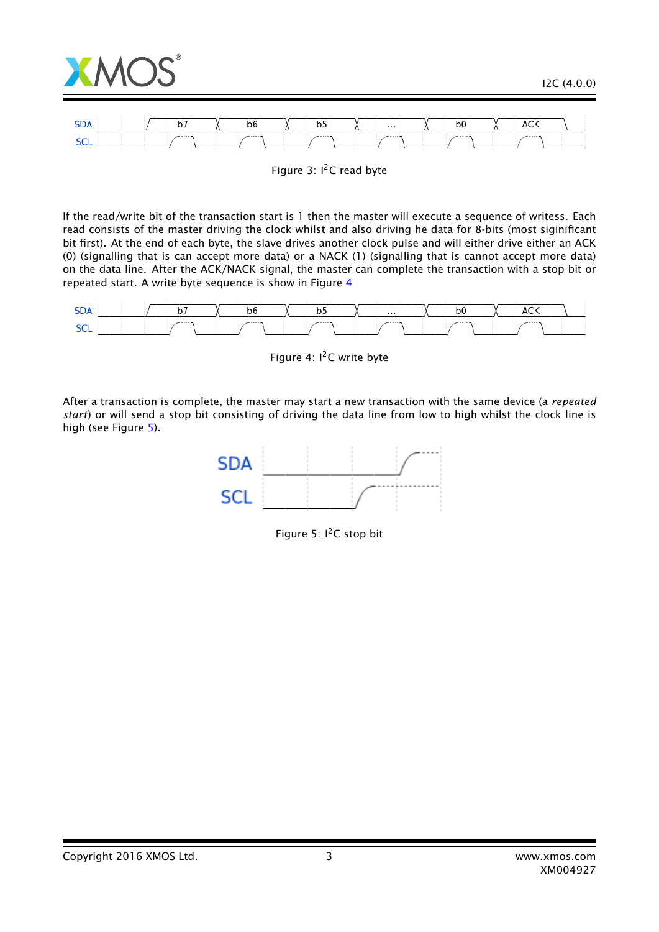

Figure 3: I<sup>2</sup>C read byte

If the read/write bit of the transaction start is 1 then the master will execute a sequence of writess. Each read consists of the master driving the clock whilst and also driving he data for 8-bits (most siginificant bit first). At the end of each byte, the slave drives another clock pulse and will either drive either an ACK (0) (signalling that is can accept more data) or a NACK (1) (signalling that is cannot accept more data) on the data line. After the ACK/NACK signal, the master can complete the transaction with a stop bit or repeated start. A write byte sequence is show in Figure [4](#page-2-1)



<span id="page-2-1"></span><span id="page-2-0"></span>Figure 4: I<sup>2</sup>C write byte

After a transaction is complete, the master may start a new transaction with the same device (a *repeated start*) or will send a stop bit consisting of driving the data line from low to high whilst the clock line is high (see Figure [5\)](#page-2-2).



<span id="page-2-2"></span>Figure 5:  $I^2C$  stop bit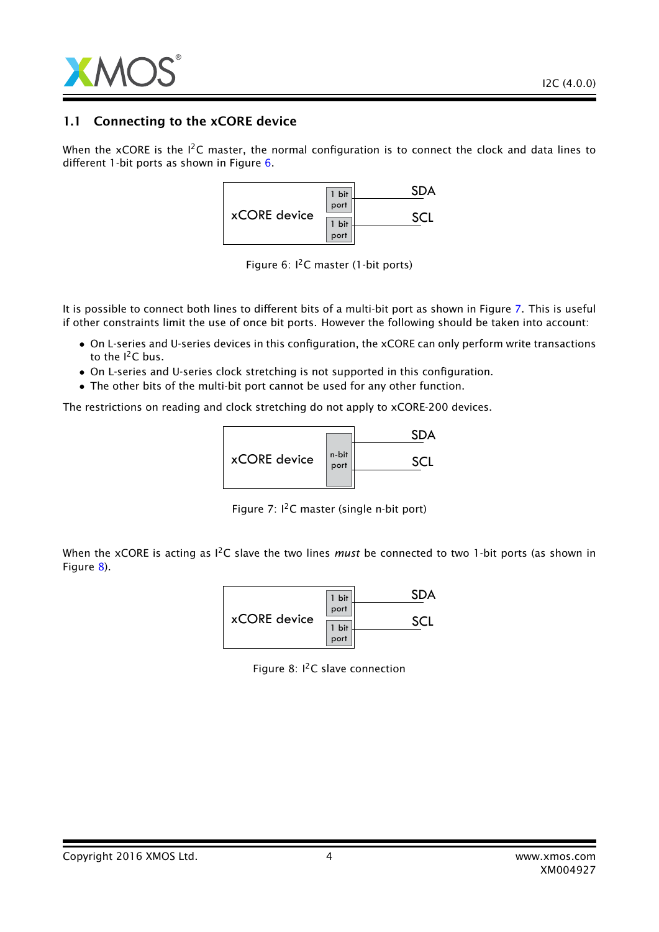

## 1.1 Connecting to the xCORE device

When the xCORE is the  $I^2C$  master, the normal configuration is to connect the clock and data lines to different 1-bit ports as shown in Figure [6.](#page-3-0)



<span id="page-3-0"></span>Figure 6:  $I<sup>2</sup>C$  master (1-bit ports)

It is possible to connect both lines to different bits of a multi-bit port as shown in Figure [7.](#page-3-1) This is useful if other constraints limit the use of once bit ports. However the following should be taken into account:

- On L-series and U-series devices in this configuration, the xCORE can only perform write transactions to the  $I^2C$  bus.
- On L-series and U-series clock stretching is not supported in this configuration.
- The other bits of the multi-bit port cannot be used for any other function.

The restrictions on reading and clock stretching do not apply to xCORE-200 devices.



<span id="page-3-1"></span>Figure 7:  $I^2C$  master (single n-bit port)

When the xCORE is acting as <sup>12</sup>C slave the two lines *must* be connected to two 1-bit ports (as shown in Figure [8\)](#page-3-2).

|              | 1 bit |  |
|--------------|-------|--|
| xCORE device | port  |  |
|              | 1 bit |  |
|              | port  |  |

<span id="page-3-2"></span>Figure 8:  $I^2C$  slave connection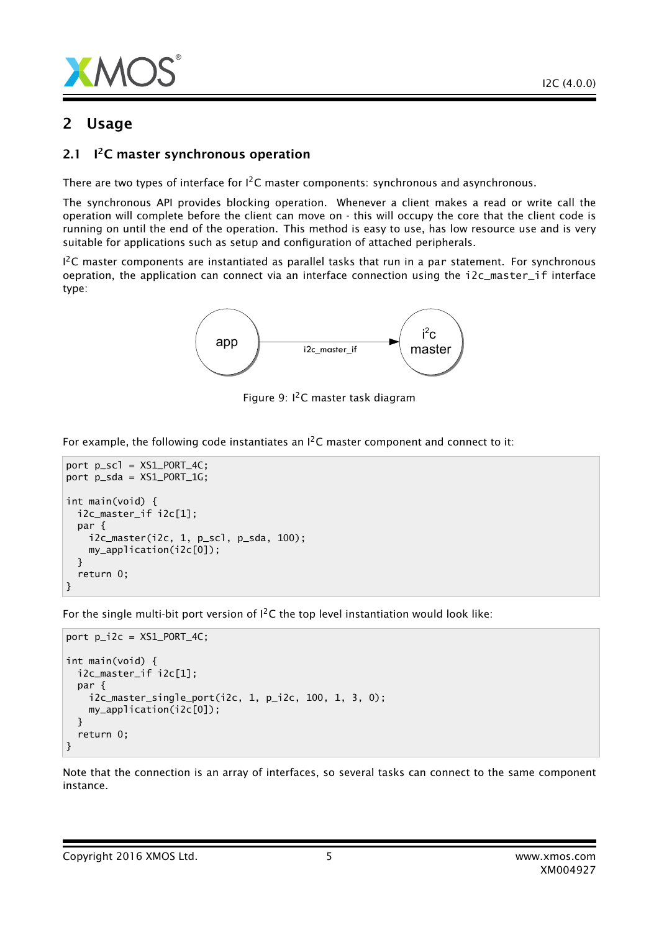

## 2 Usage

#### $2.1$ <sup>12</sup>C master synchronous operation

There are two types of interface for I<sup>2</sup>C master components: synchronous and asynchronous.

The synchronous API provides blocking operation. Whenever a client makes a read or write call the operation will complete before the client can move on - this will occupy the core that the client code is running on until the end of the operation. This method is easy to use, has low resource use and is very suitable for applications such as setup and configuration of attached peripherals.

 $1^2$ C master components are instantiated as parallel tasks that run in a par statement. For synchronous oepration, the application can connect via an interface connection using the i2c\_master\_if interface type:



Figure 9: I2C master task diagram

For example, the following code instantiates an  $I^2C$  master component and connect to it:

```
port p\_sc1 = XS1_PORT_4C;port p_sda = XS1_PORT_1G;
int main(void) {
 i2c_master_if i2c[1];
 par {
    i2c_master(i2c, 1, p_scl, p_sda, 100);
    my_application(i2c[0]);
 }
  return 0;
}
```
For the single multi-bit port version of  $l^2C$  the top level instantiation would look like:

```
port p_i^2c = XS1_PORT_4C;
int main(void) {
 i2c_master_if i2c[1];
 par {
    i2c_master_single_port(i2c, 1, p_i2c, 100, 1, 3, 0);
   my_application(i2c[0]);
 }
 return 0;
}
```
Note that the connection is an array of interfaces, so several tasks can connect to the same component instance.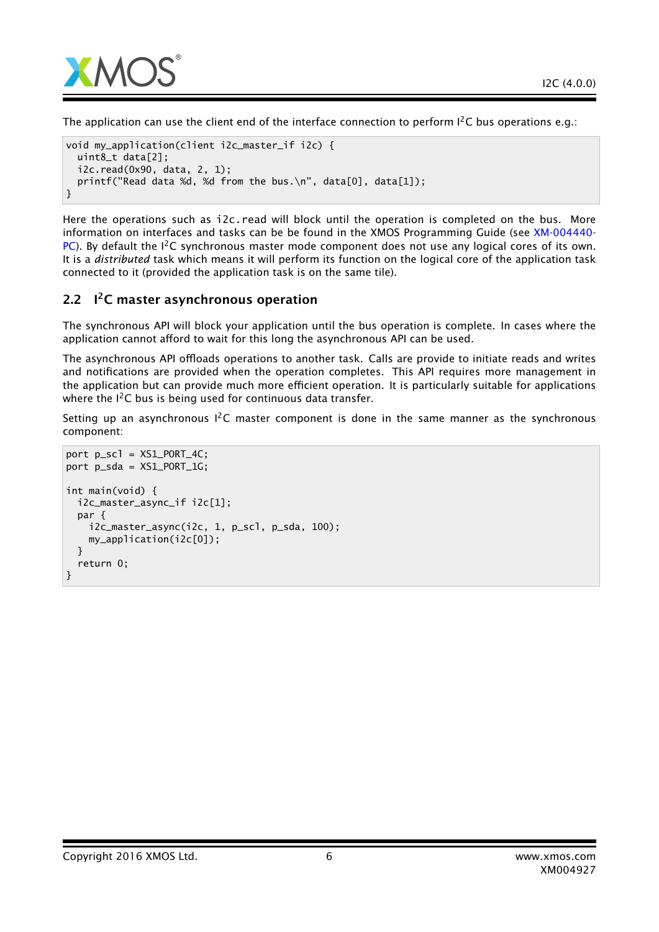

The application can use the client end of the interface connection to perform  $I^2C$  bus operations e.g.:

```
void my_application(client i2c_master_if i2c) {
 uint8_t data[2];
 i2c.read(0x90, data, 2, 1);
 printf("Read data %d, %d from the bus.\n", data[0], data[1]);
}
```
Here the operations such as i2c.read will block until the operation is completed on the bus. More information on interfaces and tasks can be be found in the XMOS Programming Guide (see [XM-004440-](http://www.xmos.com/doc/XM-004440-PC/latest#programming-guide) [PC\)](http://www.xmos.com/doc/XM-004440-PC/latest#programming-guide). By default the  $I^2C$  synchronous master mode component does not use any logical cores of its own. It is a *distributed* task which means it will perform its function on the logical core of the application task connected to it (provided the application task is on the same tile).

## 2.2 I<sup>2</sup>C master asynchronous operation

The synchronous API will block your application until the bus operation is complete. In cases where the application cannot afford to wait for this long the asynchronous API can be used.

The asynchronous API offloads operations to another task. Calls are provide to initiate reads and writes and notifications are provided when the operation completes. This API requires more management in the application but can provide much more efficient operation. It is particularly suitable for applications where the  $I^2C$  bus is being used for continuous data transfer.

Setting up an asynchronous  $1^2C$  master component is done in the same manner as the synchronous component:

```
port p\_sc1 = XS1_PORT_4C;port p_sda = XS1_PORT_1G;
int main(void) {
 i2c_master_async_if i2c[1];
 par {
    i2c_master_async(i2c, 1, p_scl, p_sda, 100);
    my_application(i2c[0]);
 }
 return 0;
}
```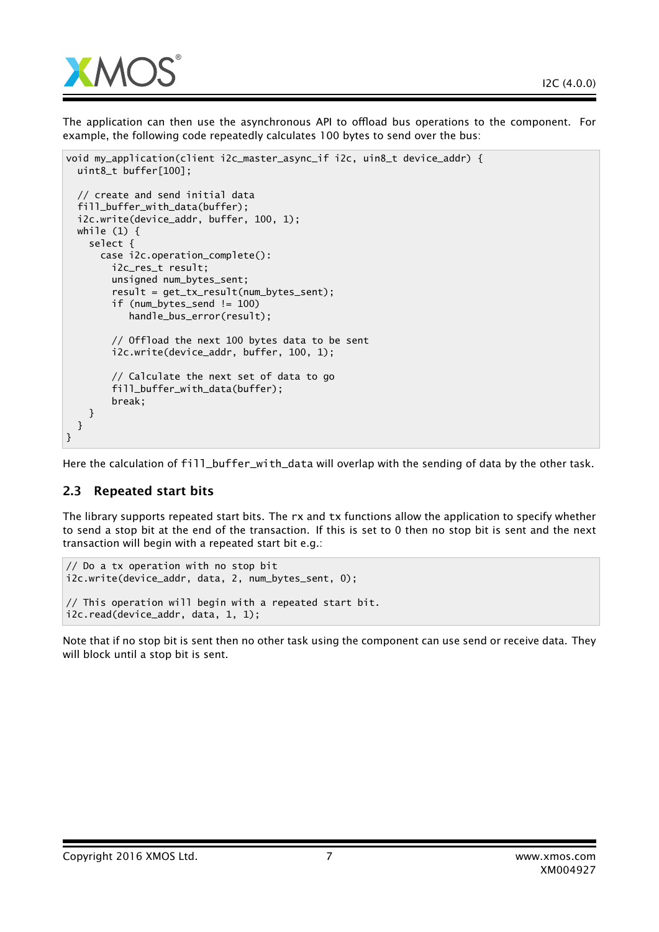

The application can then use the asynchronous API to offload bus operations to the component. For example, the following code repeatedly calculates 100 bytes to send over the bus:

```
void my_application(client i2c_master_async_if i2c, uin8_t device_addr) {
  uint8_t buffer[100];
  // create and send initial data
  fill_buffer_with_data(buffer);
  i2c.write(device_addr, buffer, 100, 1);
  while (1) {
    select {
      case i2c.operation_complete():
        i2c_res_t result;
        unsigned num_bytes_sent;
        result = get_tx_result(num_bytes_sent);
        if (num_bytes_send != 100)
           handle_bus_error(result);
        // Offload the next 100 bytes data to be sent
        i2c.write(device_addr, buffer, 100, 1);
        // Calculate the next set of data to go
        fill_buffer_with_data(buffer);
        break;
    }
  }
}
```
Here the calculation of fill\_buffer\_with\_data will overlap with the sending of data by the other task.

## 2.3 Repeated start bits

The library supports repeated start bits. The rx and tx functions allow the application to specify whether to send a stop bit at the end of the transaction. If this is set to 0 then no stop bit is sent and the next transaction will begin with a repeated start bit e.g.:

```
// Do a tx operation with no stop bit
i2c.write(device_addr, data, 2, num_bytes_sent, 0);
// This operation will begin with a repeated start bit.
i2c.read(device_addr, data, 1, 1);
```
Note that if no stop bit is sent then no other task using the component can use send or receive data. They will block until a stop bit is sent.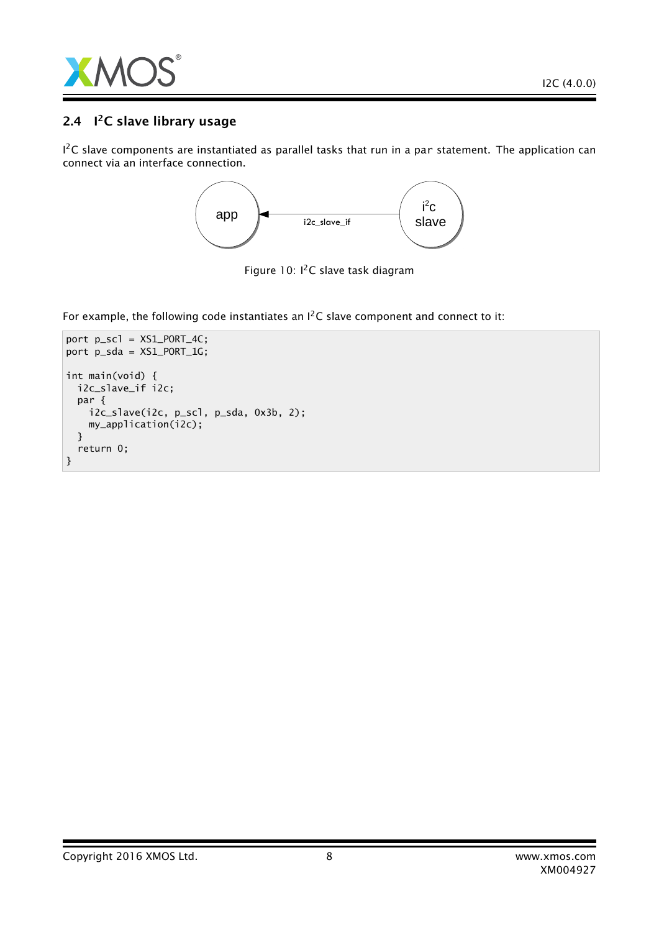

## 2.4 I<sup>2</sup>C slave library usage

 $1^2$ C slave components are instantiated as parallel tasks that run in a par statement. The application can connect via an interface connection.



Figure 10: I<sup>2</sup>C slave task diagram

For example, the following code instantiates an  $I^2C$  slave component and connect to it:

```
port p_scl = XS1_PORT_4C;
port p_sda = XS1_PORT_1G;
int main(void) {
 i2c_slave_if i2c;
 par {
   i2c_slave(i2c, p_scl, p_sda, 0x3b, 2);
   my_application(i2c);
 }
 return 0;
}
```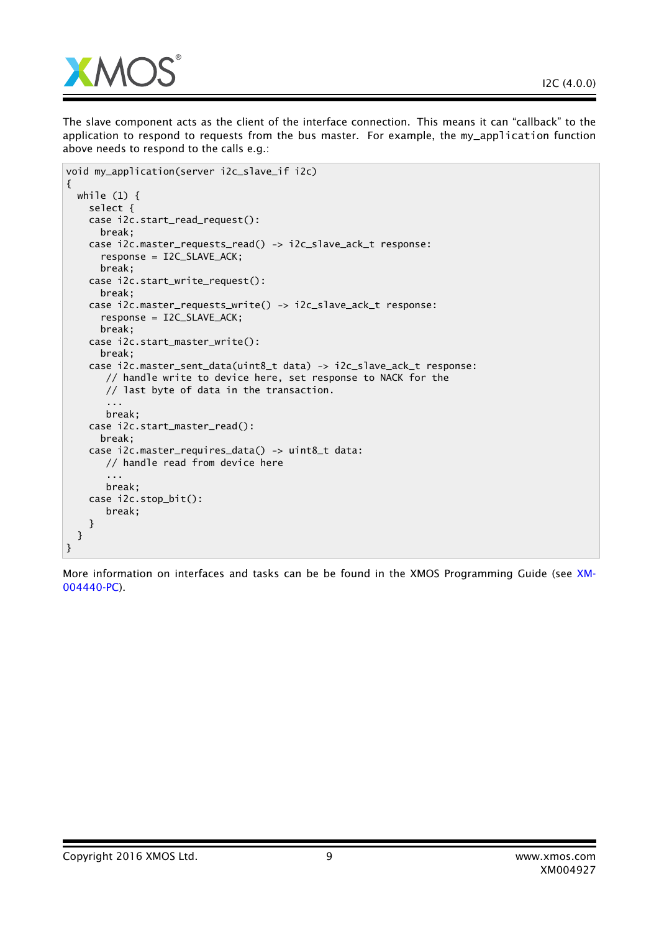

The slave component acts as the client of the interface connection. This means it can "callback" to the application to respond to requests from the bus master. For example, the my\_application function above needs to respond to the calls e.g.:

```
void my_application(server i2c_slave_if i2c)
{
 while (1) {
   select {
    case i2c.start_read_request():
     break;
    case i2c.master_requests_read() -> i2c_slave_ack_t response:
      response = I2C_SLAVE_ACK;
     break;
    case i2c.start_write_request():
     break;
    case i2c.master_requests_write() -> i2c_slave_ack_t response:
      response = I2C_SLAVE_ACK;
     break;
    case i2c.start_master_write():
     break;
    case i2c.master_sent_data(uint8_t data) -> i2c_slave_ack_t response:
       // handle write to device here, set response to NACK for the
       // last byte of data in the transaction.
       ...
       break;
    case i2c.start_master_read():
     break;
    case i2c.master_requires_data() -> uint8_t data:
       // handle read from device here
       ...
       break;
    case i2c.stop_bit():
       break;
   }
 }
}
```
More information on interfaces and tasks can be be found in the XMOS Programming Guide (see [XM-](http://www.xmos.com/doc/XM-004440-PC/latest#programming-guide)[004440-PC\)](http://www.xmos.com/doc/XM-004440-PC/latest#programming-guide).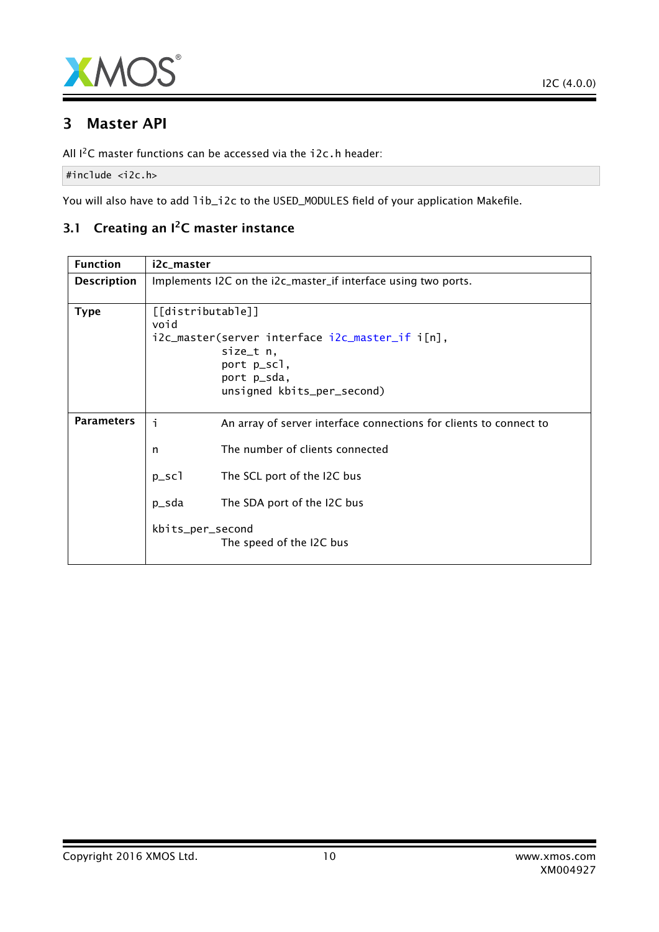

## 3 Master API

All I<sup>2</sup>C master functions can be accessed via the i2c.h header:

#include <i2c.h>

You will also have to add lib\_i2c to the USED\_MODULES field of your application Makefile.

## 3.1 Creating an I<sup>2</sup>C master instance

| <b>Function</b>    | i2c_master                                                                                                                                            |  |  |
|--------------------|-------------------------------------------------------------------------------------------------------------------------------------------------------|--|--|
| <b>Description</b> | Implements I2C on the i2c_master_if interface using two ports.                                                                                        |  |  |
| <b>Type</b>        | [[distributable]]<br>void<br>i2c_master(server interface i2c_master_if i[n],<br>size_t n,<br>port p_scl,<br>port p_sda,<br>unsigned kbits_per_second) |  |  |
| <b>Parameters</b>  | İ<br>An array of server interface connections for clients to connect to                                                                               |  |  |
|                    | The number of clients connected<br>n                                                                                                                  |  |  |
|                    | $p\_sc1$<br>The SCL port of the I2C bus                                                                                                               |  |  |
|                    | p_sda<br>The SDA port of the I2C bus                                                                                                                  |  |  |
|                    | kbits_per_second<br>The speed of the I2C bus                                                                                                          |  |  |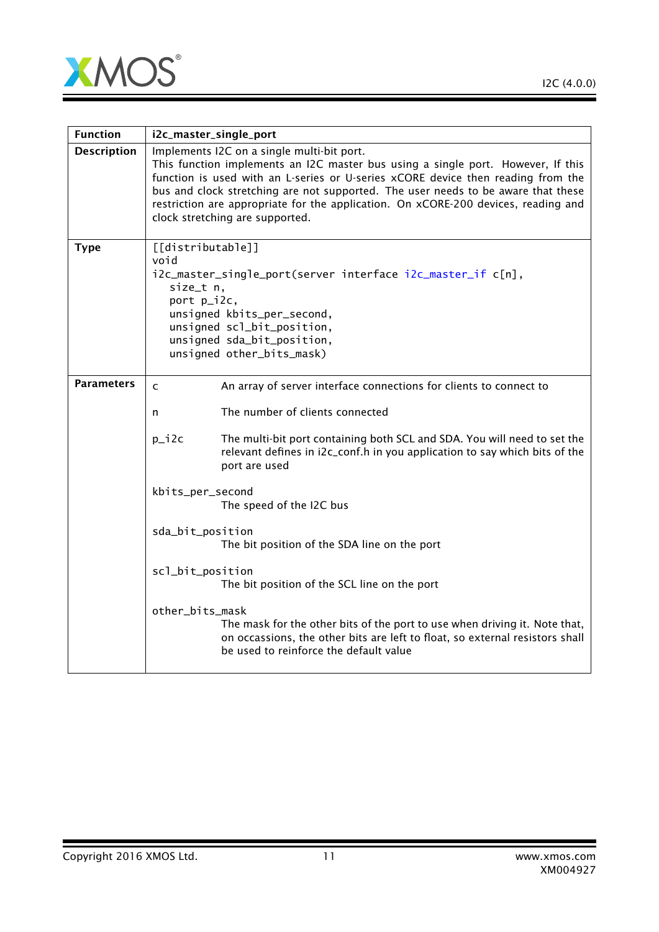

Ξ

| <b>Function</b>    | i2c_master_single_port                                                                                                                                                                                                                                                                                                                                                                                                           |                                                                                                                                                                                                      |  |
|--------------------|----------------------------------------------------------------------------------------------------------------------------------------------------------------------------------------------------------------------------------------------------------------------------------------------------------------------------------------------------------------------------------------------------------------------------------|------------------------------------------------------------------------------------------------------------------------------------------------------------------------------------------------------|--|
| <b>Description</b> | Implements I2C on a single multi-bit port.<br>This function implements an I2C master bus using a single port. However, If this<br>function is used with an L-series or U-series xCORE device then reading from the<br>bus and clock stretching are not supported. The user needs to be aware that these<br>restriction are appropriate for the application. On xCORE-200 devices, reading and<br>clock stretching are supported. |                                                                                                                                                                                                      |  |
| <b>Type</b>        | [[distributable]]<br>void<br>i2c_master_single_port(server interface i2c_master_if c[n],<br>size_t n,<br>port p_i2c,<br>unsigned kbits_per_second,<br>unsigned scl_bit_position,<br>unsigned sda_bit_position,<br>unsigned other_bits_mask)                                                                                                                                                                                      |                                                                                                                                                                                                      |  |
| <b>Parameters</b>  | $\mathsf{C}$                                                                                                                                                                                                                                                                                                                                                                                                                     | An array of server interface connections for clients to connect to                                                                                                                                   |  |
|                    | n                                                                                                                                                                                                                                                                                                                                                                                                                                | The number of clients connected                                                                                                                                                                      |  |
|                    | $p_i$ i 2 $c$                                                                                                                                                                                                                                                                                                                                                                                                                    | The multi-bit port containing both SCL and SDA. You will need to set the<br>relevant defines in i2c_conf.h in you application to say which bits of the<br>port are used                              |  |
|                    | kbits_per_second<br>The speed of the I2C bus                                                                                                                                                                                                                                                                                                                                                                                     |                                                                                                                                                                                                      |  |
|                    | sda_bit_position                                                                                                                                                                                                                                                                                                                                                                                                                 | The bit position of the SDA line on the port                                                                                                                                                         |  |
|                    | scl_bit_position                                                                                                                                                                                                                                                                                                                                                                                                                 | The bit position of the SCL line on the port                                                                                                                                                         |  |
|                    | other_bits_mask                                                                                                                                                                                                                                                                                                                                                                                                                  | The mask for the other bits of the port to use when driving it. Note that,<br>on occassions, the other bits are left to float, so external resistors shall<br>be used to reinforce the default value |  |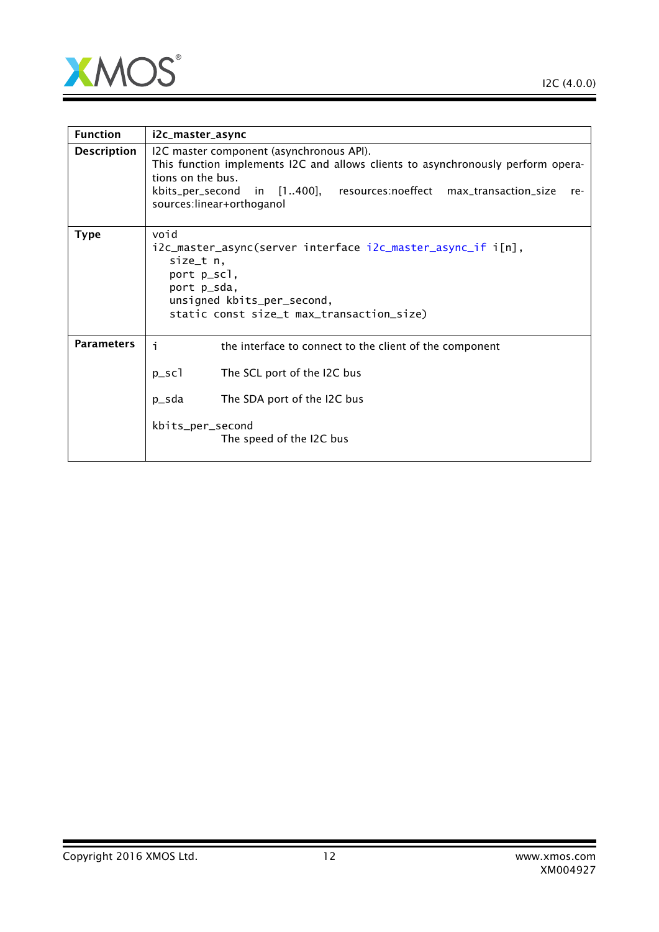

 $\overline{\phantom{a}}$ 

| <b>Function</b>    | i2c_master_async                                                                                                                                                                                                                                             |  |  |
|--------------------|--------------------------------------------------------------------------------------------------------------------------------------------------------------------------------------------------------------------------------------------------------------|--|--|
| <b>Description</b> | I2C master component (asynchronous API).<br>This function implements I2C and allows clients to asynchronously perform opera-<br>tions on the bus.<br>kbits_per_second in [1400], resources:noeffect max_transaction_size<br>re-<br>sources:linear+orthoganol |  |  |
| <b>Type</b>        | void<br>i2c_master_async(server interface i2c_master_async_if i[n],<br>size_t n,<br>port p_scl,<br>port p_sda,<br>unsigned kbits_per_second,<br>static const size_t max_transaction_size)                                                                    |  |  |
| <b>Parameters</b>  | j.<br>the interface to connect to the client of the component<br>$p\_sc1$<br>The SCL port of the I2C bus<br>p_sda<br>The SDA port of the I2C bus<br>kbits_per_second<br>The speed of the I2C bus                                                             |  |  |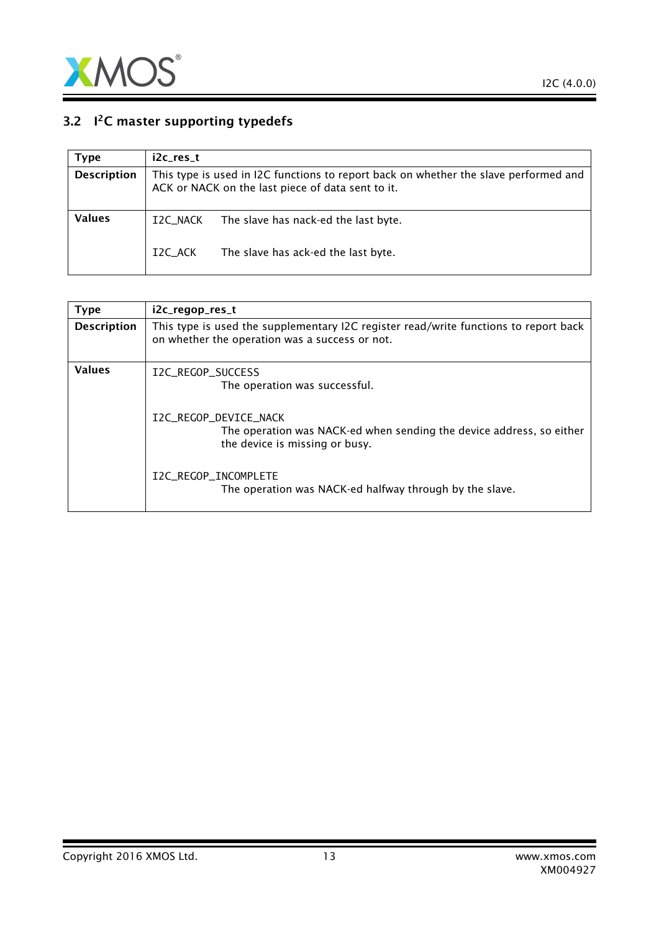

## 3.2  $1<sup>2</sup>C$  master supporting typedefs

<span id="page-12-0"></span>

| Type               | i2c res t                                                                                                                                 |                                      |
|--------------------|-------------------------------------------------------------------------------------------------------------------------------------------|--------------------------------------|
| <b>Description</b> | This type is used in I2C functions to report back on whether the slave performed and<br>ACK or NACK on the last piece of data sent to it. |                                      |
| Values             | I2C NACK                                                                                                                                  | The slave has nack-ed the last byte. |
|                    | I2C ACK                                                                                                                                   | The slave has ack-ed the last byte.  |

<span id="page-12-1"></span>

| <b>Type</b>        | i2c_regop_res_t                                                                                                                        |
|--------------------|----------------------------------------------------------------------------------------------------------------------------------------|
| <b>Description</b> | This type is used the supplementary I2C register read/write functions to report back<br>on whether the operation was a success or not. |
| <b>Values</b>      | I2C REGOP SUCCESS<br>The operation was successful.                                                                                     |
|                    | I2C_REGOP_DEVICE_NACK<br>The operation was NACK-ed when sending the device address, so either<br>the device is missing or busy.        |
|                    | I2C_REGOP_INCOMPLETE<br>The operation was NACK-ed halfway through by the slave.                                                        |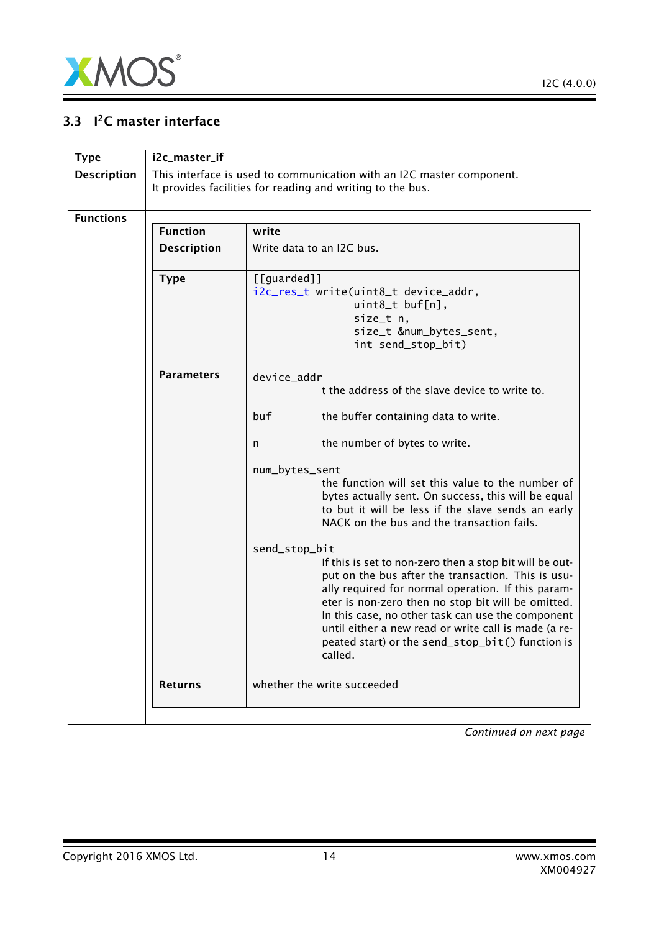

## 3.3 <sup>2</sup>C master interface

<span id="page-13-0"></span>

| <b>Type</b>        | i2c_master_if      |                                                                                                                                                                                                                                                                                                                                                                                                                        |
|--------------------|--------------------|------------------------------------------------------------------------------------------------------------------------------------------------------------------------------------------------------------------------------------------------------------------------------------------------------------------------------------------------------------------------------------------------------------------------|
| <b>Description</b> |                    | This interface is used to communication with an I2C master component.<br>It provides facilities for reading and writing to the bus.                                                                                                                                                                                                                                                                                    |
| <b>Functions</b>   |                    |                                                                                                                                                                                                                                                                                                                                                                                                                        |
|                    | <b>Function</b>    | write                                                                                                                                                                                                                                                                                                                                                                                                                  |
|                    | <b>Description</b> | Write data to an I2C bus.                                                                                                                                                                                                                                                                                                                                                                                              |
|                    | <b>Type</b>        | [[guarded]]<br>i2c_res_t write(uint8_t device_addr,<br>uint8_t buf[n],<br>size_t n,<br>size_t #_bytes_sent,<br>int send_stop_bit)                                                                                                                                                                                                                                                                                      |
|                    | <b>Parameters</b>  | device_addr<br>t the address of the slave device to write to.<br>buf<br>the buffer containing data to write.<br>the number of bytes to write.<br>n<br>num_bytes_sent<br>the function will set this value to the number of<br>bytes actually sent. On success, this will be equal<br>to but it will be less if the slave sends an early<br>NACK on the bus and the transaction fails.                                   |
|                    |                    | send_stop_bit<br>If this is set to non-zero then a stop bit will be out-<br>put on the bus after the transaction. This is usu-<br>ally required for normal operation. If this param-<br>eter is non-zero then no stop bit will be omitted.<br>In this case, no other task can use the component<br>until either a new read or write call is made (a re-<br>peated start) or the send_stop_bit() function is<br>called. |
|                    | <b>Returns</b>     | whether the write succeeded                                                                                                                                                                                                                                                                                                                                                                                            |
|                    |                    |                                                                                                                                                                                                                                                                                                                                                                                                                        |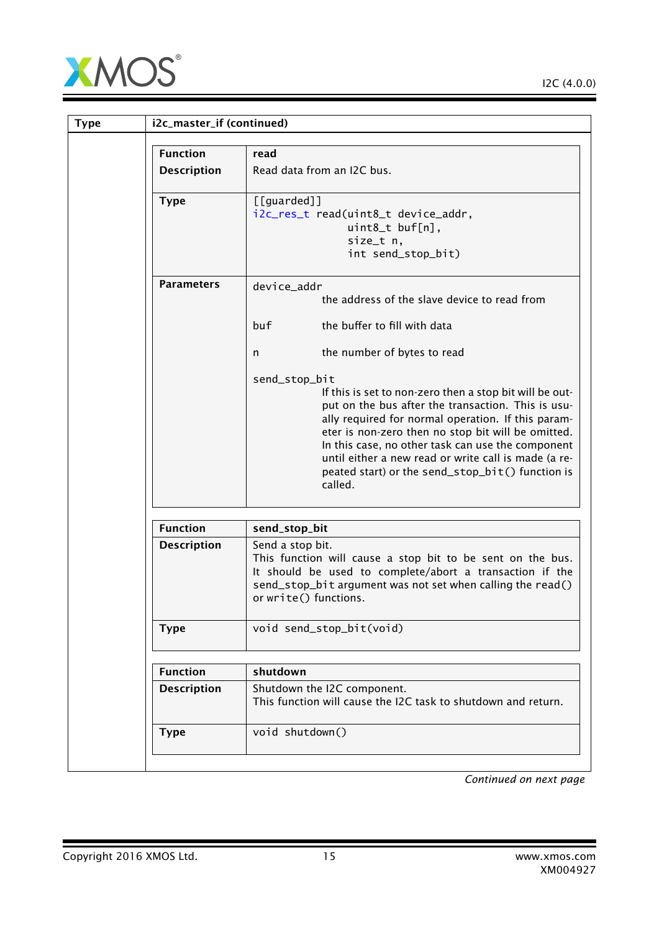

| <b>Type</b> | i2c_master_if (continued) |                                                                                                                                                                                                                                                                                                                                                                                                                        |
|-------------|---------------------------|------------------------------------------------------------------------------------------------------------------------------------------------------------------------------------------------------------------------------------------------------------------------------------------------------------------------------------------------------------------------------------------------------------------------|
|             | <b>Function</b>           | read                                                                                                                                                                                                                                                                                                                                                                                                                   |
|             | <b>Description</b>        | Read data from an I2C bus.                                                                                                                                                                                                                                                                                                                                                                                             |
|             | <b>Type</b>               | [[guarded]]<br>i2c_res_t read(uint8_t device_addr,<br>uint8_t buf[n],<br>size_t n,<br>int send_stop_bit)                                                                                                                                                                                                                                                                                                               |
|             | <b>Parameters</b>         | device_addr<br>the address of the slave device to read from<br>the buffer to fill with data<br>buf                                                                                                                                                                                                                                                                                                                     |
|             |                           | the number of bytes to read<br>n                                                                                                                                                                                                                                                                                                                                                                                       |
|             |                           | send_stop_bit<br>If this is set to non-zero then a stop bit will be out-<br>put on the bus after the transaction. This is usu-<br>ally required for normal operation. If this param-<br>eter is non-zero then no stop bit will be omitted.<br>In this case, no other task can use the component<br>until either a new read or write call is made (a re-<br>peated start) or the send_stop_bit() function is<br>called. |
|             | <b>Function</b>           | send_stop_bit                                                                                                                                                                                                                                                                                                                                                                                                          |
|             | <b>Description</b>        | Send a stop bit.<br>This function will cause a stop bit to be sent on the bus.<br>It should be used to complete/abort a transaction if the<br>send_stop_bit argument was not set when calling the read()<br>or write() functions.                                                                                                                                                                                      |
|             | <b>Type</b>               | void send_stop_bit(void)                                                                                                                                                                                                                                                                                                                                                                                               |
|             | <b>Function</b>           | shutdown                                                                                                                                                                                                                                                                                                                                                                                                               |
|             | <b>Description</b>        | Shutdown the I2C component.<br>This function will cause the I2C task to shutdown and return.                                                                                                                                                                                                                                                                                                                           |
|             | <b>Type</b>               | void shutdown()                                                                                                                                                                                                                                                                                                                                                                                                        |
|             |                           |                                                                                                                                                                                                                                                                                                                                                                                                                        |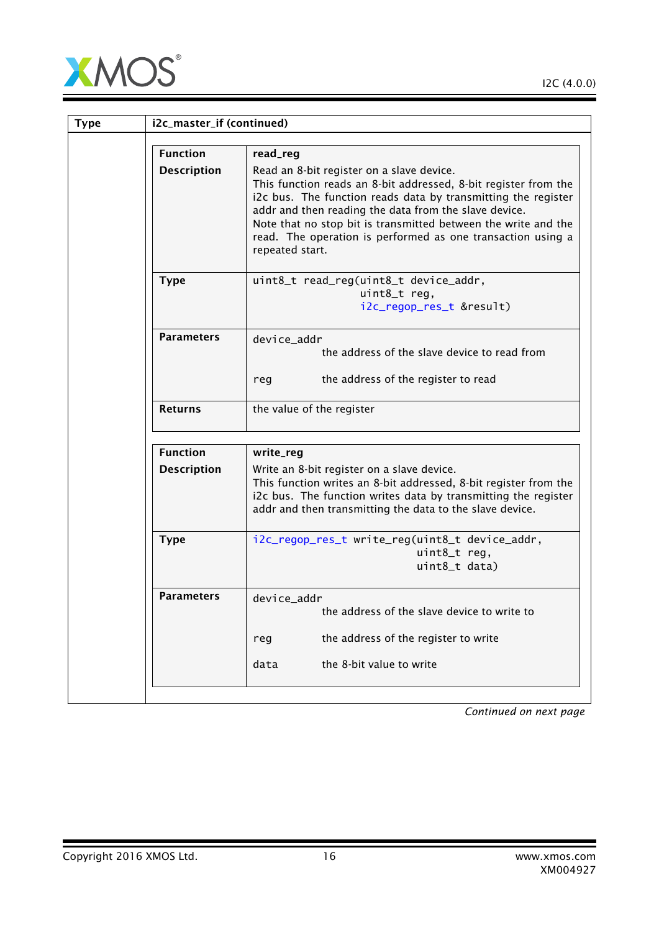

| <b>Type</b> | i2c_master_if (continued) |                                                                                                                                                                                                                                                                                                                                                                                            |
|-------------|---------------------------|--------------------------------------------------------------------------------------------------------------------------------------------------------------------------------------------------------------------------------------------------------------------------------------------------------------------------------------------------------------------------------------------|
|             | <b>Function</b>           | read_reg                                                                                                                                                                                                                                                                                                                                                                                   |
|             | <b>Description</b>        | Read an 8-bit register on a slave device.<br>This function reads an 8-bit addressed, 8-bit register from the<br>i2c bus. The function reads data by transmitting the register<br>addr and then reading the data from the slave device.<br>Note that no stop bit is transmitted between the write and the<br>read. The operation is performed as one transaction using a<br>repeated start. |
|             | <b>Type</b>               | uint8_t read_reg(uint8_t device_addr,<br>uint8_t reg,<br>i2c_regop_res_t &result)                                                                                                                                                                                                                                                                                                          |
|             | <b>Parameters</b>         | device_addr<br>the address of the slave device to read from<br>the address of the register to read<br>reg                                                                                                                                                                                                                                                                                  |
|             | <b>Returns</b>            | the value of the register                                                                                                                                                                                                                                                                                                                                                                  |
|             | <b>Function</b>           | write_reg                                                                                                                                                                                                                                                                                                                                                                                  |
|             | <b>Description</b>        | Write an 8-bit register on a slave device.<br>This function writes an 8-bit addressed, 8-bit register from the<br>i2c bus. The function writes data by transmitting the register<br>addr and then transmitting the data to the slave device.                                                                                                                                               |
|             | <b>Type</b>               | i2c_regop_res_t write_reg(uint8_t device_addr,<br>uint8_t reg,<br>uint8_t data)                                                                                                                                                                                                                                                                                                            |
|             | <b>Parameters</b>         | device_addr<br>the address of the slave device to write to<br>the address of the register to write<br>reg                                                                                                                                                                                                                                                                                  |
|             |                           | the 8-bit value to write<br>data                                                                                                                                                                                                                                                                                                                                                           |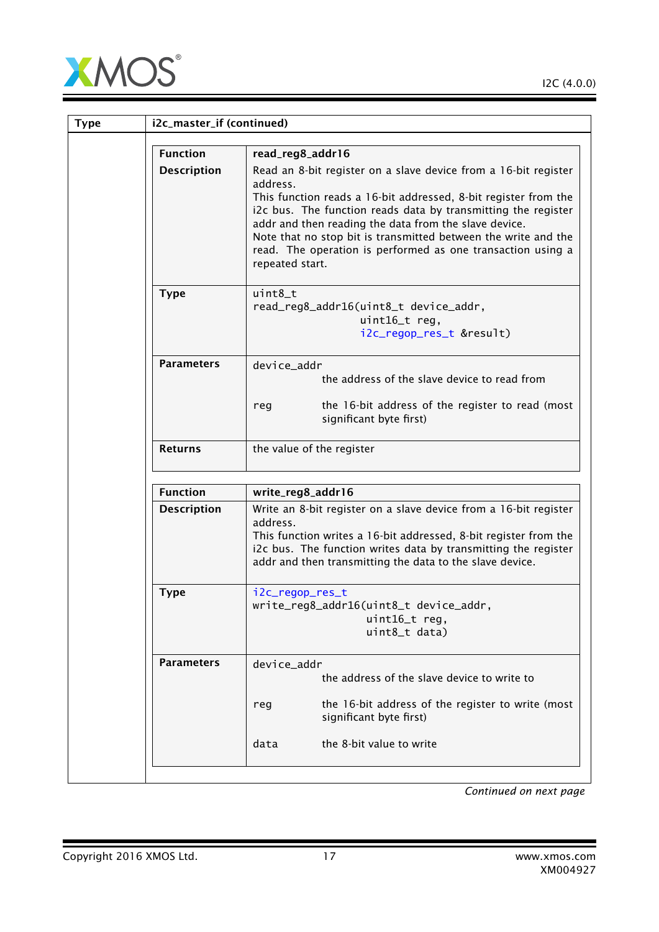

| <b>Type</b> | i2c_master_if (continued) |                                                                                                                                                                                                                                                                                                                                                                                                                              |  |
|-------------|---------------------------|------------------------------------------------------------------------------------------------------------------------------------------------------------------------------------------------------------------------------------------------------------------------------------------------------------------------------------------------------------------------------------------------------------------------------|--|
|             | <b>Function</b>           | read_reg8_addr16                                                                                                                                                                                                                                                                                                                                                                                                             |  |
|             | <b>Description</b>        | Read an 8-bit register on a slave device from a 16-bit register<br>address.<br>This function reads a 16-bit addressed, 8-bit register from the<br>i2c bus. The function reads data by transmitting the register<br>addr and then reading the data from the slave device.<br>Note that no stop bit is transmitted between the write and the<br>read. The operation is performed as one transaction using a<br>repeated start. |  |
|             | <b>Type</b>               | $uint8_t$<br>read_reg8_addr16(uint8_t device_addr,<br>uint16_t reg,<br>i2c_regop_res_t &result)                                                                                                                                                                                                                                                                                                                              |  |
|             | <b>Parameters</b>         | device addr<br>the address of the slave device to read from                                                                                                                                                                                                                                                                                                                                                                  |  |
|             |                           | the 16-bit address of the register to read (most<br>reg<br>significant byte first)                                                                                                                                                                                                                                                                                                                                           |  |
|             | <b>Returns</b>            | the value of the register                                                                                                                                                                                                                                                                                                                                                                                                    |  |
|             | <b>Function</b>           | write_reg8_addr16                                                                                                                                                                                                                                                                                                                                                                                                            |  |
|             | <b>Description</b>        | Write an 8-bit register on a slave device from a 16-bit register<br>address.<br>This function writes a 16-bit addressed, 8-bit register from the<br>i2c bus. The function writes data by transmitting the register<br>addr and then transmitting the data to the slave device.                                                                                                                                               |  |
|             | <b>Type</b>               | i2c_regop_res_t<br>write_reg8_addr16(uint8_t device_addr,<br>uint16_t reg,<br>uint8_t data)                                                                                                                                                                                                                                                                                                                                  |  |
|             | <b>Parameters</b>         | device_addr<br>the address of the slave device to write to<br>the 16-bit address of the register to write (most<br>reg<br>significant byte first)                                                                                                                                                                                                                                                                            |  |
|             |                           | the 8-bit value to write<br>data                                                                                                                                                                                                                                                                                                                                                                                             |  |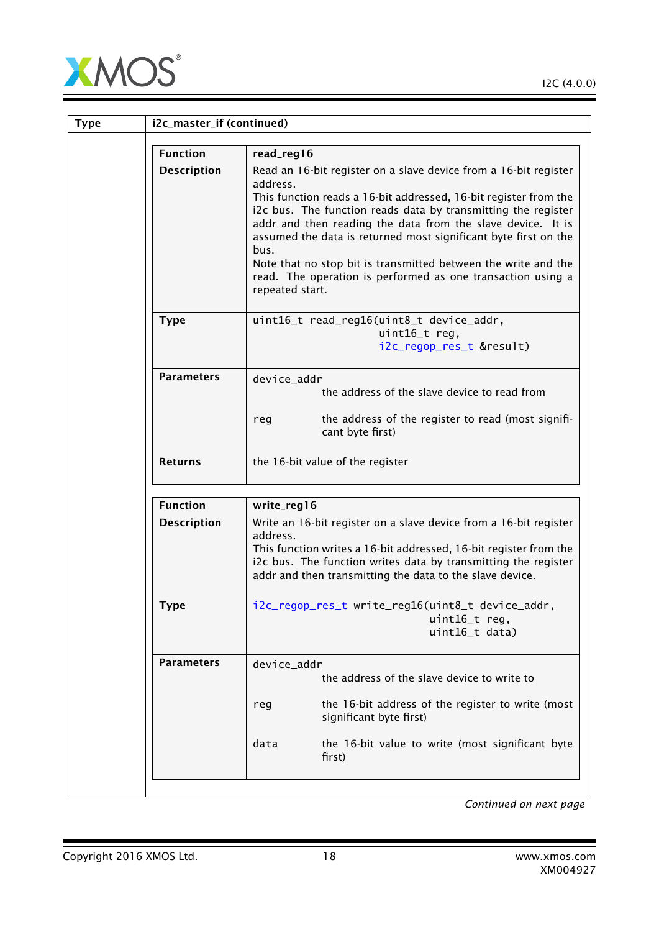

| <b>Type</b> | i2c_master_if (continued) |                                                                                                                                                                                                                                                                                                                                                                                                                                                                                                                               |  |
|-------------|---------------------------|-------------------------------------------------------------------------------------------------------------------------------------------------------------------------------------------------------------------------------------------------------------------------------------------------------------------------------------------------------------------------------------------------------------------------------------------------------------------------------------------------------------------------------|--|
|             | <b>Function</b>           |                                                                                                                                                                                                                                                                                                                                                                                                                                                                                                                               |  |
|             | <b>Description</b>        | read_reg16<br>Read an 16-bit register on a slave device from a 16-bit register<br>address.<br>This function reads a 16-bit addressed, 16-bit register from the<br>i2c bus. The function reads data by transmitting the register<br>addr and then reading the data from the slave device. It is<br>assumed the data is returned most significant byte first on the<br>bus.<br>Note that no stop bit is transmitted between the write and the<br>read. The operation is performed as one transaction using a<br>repeated start. |  |
|             | <b>Type</b>               | uint16_t read_reg16(uint8_t device_addr,<br>uint16_t reg,<br>i2c_regop_res_t &result)                                                                                                                                                                                                                                                                                                                                                                                                                                         |  |
|             | <b>Parameters</b>         | device_addr<br>the address of the slave device to read from<br>the address of the register to read (most signifi-<br>reg<br>cant byte first)                                                                                                                                                                                                                                                                                                                                                                                  |  |
|             | <b>Returns</b>            | the 16-bit value of the register                                                                                                                                                                                                                                                                                                                                                                                                                                                                                              |  |
|             | <b>Function</b>           | write_reg16                                                                                                                                                                                                                                                                                                                                                                                                                                                                                                                   |  |
|             | <b>Description</b>        | Write an 16-bit register on a slave device from a 16-bit register<br>address.<br>This function writes a 16-bit addressed, 16-bit register from the<br>i2c bus. The function writes data by transmitting the register<br>addr and then transmitting the data to the slave device.                                                                                                                                                                                                                                              |  |
|             | <b>Type</b>               | i2c_regop_res_t write_reg16(uint8_t device_addr,<br>uint16_t reg,<br>uint16_t data)                                                                                                                                                                                                                                                                                                                                                                                                                                           |  |
|             | <b>Parameters</b>         | device_addr<br>the address of the slave device to write to<br>the 16-bit address of the register to write (most<br>reg<br>significant byte first)<br>the 16-bit value to write (most significant byte<br>data<br>first)                                                                                                                                                                                                                                                                                                       |  |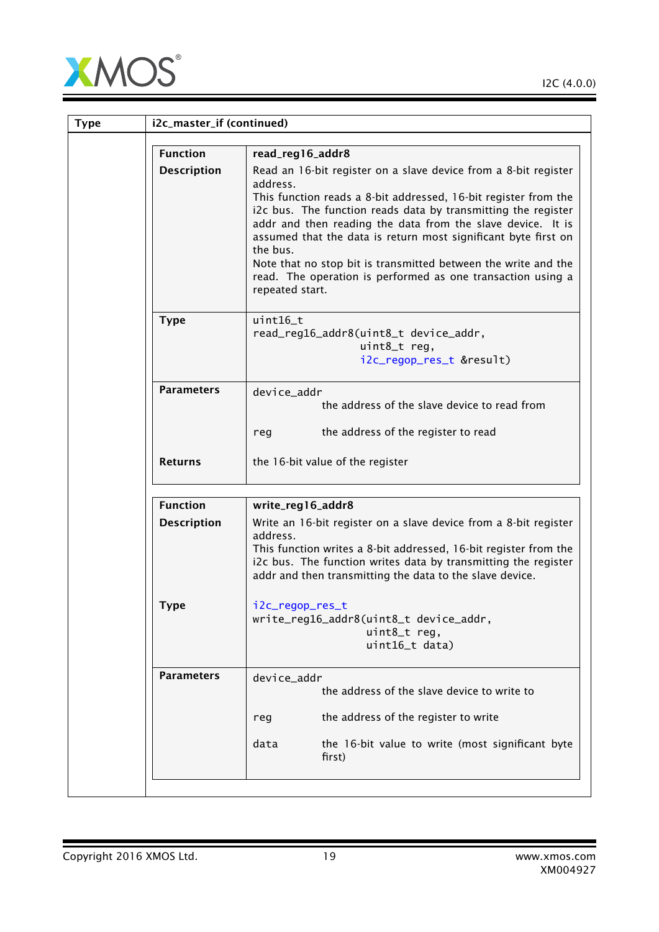

| <b>Type</b> | i2c_master_if (continued) |                                                                                                                                                                                                                                                                                                                                                                                                                                                                                                                  |
|-------------|---------------------------|------------------------------------------------------------------------------------------------------------------------------------------------------------------------------------------------------------------------------------------------------------------------------------------------------------------------------------------------------------------------------------------------------------------------------------------------------------------------------------------------------------------|
|             | <b>Function</b>           | read_reg16_addr8                                                                                                                                                                                                                                                                                                                                                                                                                                                                                                 |
|             | <b>Description</b>        | Read an 16-bit register on a slave device from a 8-bit register<br>address.<br>This function reads a 8-bit addressed, 16-bit register from the<br>i2c bus. The function reads data by transmitting the register<br>addr and then reading the data from the slave device. It is<br>assumed that the data is return most significant byte first on<br>the bus.<br>Note that no stop bit is transmitted between the write and the<br>read. The operation is performed as one transaction using a<br>repeated start. |
|             | <b>Type</b>               | uint16_t<br>read_reg16_addr8(uint8_t device_addr,<br>$uint8_t$ reg,<br>i2c_regop_res_t &result)                                                                                                                                                                                                                                                                                                                                                                                                                  |
|             | <b>Parameters</b>         | device_addr<br>the address of the slave device to read from<br>the address of the register to read<br>reg                                                                                                                                                                                                                                                                                                                                                                                                        |
|             | <b>Returns</b>            | the 16-bit value of the register                                                                                                                                                                                                                                                                                                                                                                                                                                                                                 |
|             | <b>Function</b>           | write_reg16_addr8                                                                                                                                                                                                                                                                                                                                                                                                                                                                                                |
|             | <b>Description</b>        | Write an 16-bit register on a slave device from a 8-bit register<br>address.<br>This function writes a 8-bit addressed, 16-bit register from the<br>i2c bus. The function writes data by transmitting the register<br>addr and then transmitting the data to the slave device.                                                                                                                                                                                                                                   |
|             | <b>Type</b>               | i2c_regop_res_t<br>write_reg16_addr8(uint8_t device_addr,<br>uint8_t reg,<br>uint16_t data)                                                                                                                                                                                                                                                                                                                                                                                                                      |
|             | <b>Parameters</b>         | device_addr<br>the address of the slave device to write to<br>the address of the register to write<br>reg<br>the 16-bit value to write (most significant byte<br>data<br>first)                                                                                                                                                                                                                                                                                                                                  |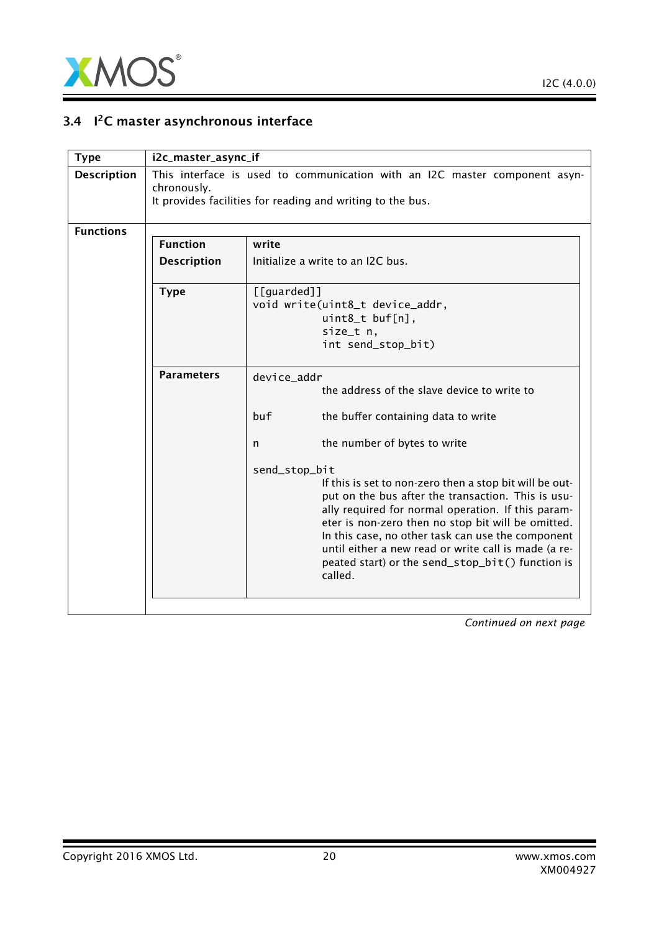

## 3.4 I<sup>2</sup>C master asynchronous interface

<span id="page-19-0"></span>

| i2c_master_async_if |                                                                                                                                                                                                                                                                                                                                                                                                                                                                                                                                                                          |
|---------------------|--------------------------------------------------------------------------------------------------------------------------------------------------------------------------------------------------------------------------------------------------------------------------------------------------------------------------------------------------------------------------------------------------------------------------------------------------------------------------------------------------------------------------------------------------------------------------|
| chronously.         | This interface is used to communication with an I2C master component asyn-<br>It provides facilities for reading and writing to the bus.                                                                                                                                                                                                                                                                                                                                                                                                                                 |
|                     |                                                                                                                                                                                                                                                                                                                                                                                                                                                                                                                                                                          |
| <b>Function</b>     | write                                                                                                                                                                                                                                                                                                                                                                                                                                                                                                                                                                    |
| <b>Description</b>  | Initialize a write to an I2C bus.                                                                                                                                                                                                                                                                                                                                                                                                                                                                                                                                        |
| <b>Type</b>         | $[$ [guarded]]<br>void write(uint8_t device_addr,<br>$uint8_t \text{ but } [n],$<br>size_t n,<br>int send_stop_bit)                                                                                                                                                                                                                                                                                                                                                                                                                                                      |
| <b>Parameters</b>   | device_addr<br>the address of the slave device to write to<br>buf.<br>the buffer containing data to write<br>the number of bytes to write<br>n<br>send_stop_bit<br>If this is set to non-zero then a stop bit will be out-<br>put on the bus after the transaction. This is usu-<br>ally required for normal operation. If this param-<br>eter is non-zero then no stop bit will be omitted.<br>In this case, no other task can use the component<br>until either a new read or write call is made (a re-<br>peated start) or the send_stop_bit() function is<br>called. |
|                     |                                                                                                                                                                                                                                                                                                                                                                                                                                                                                                                                                                          |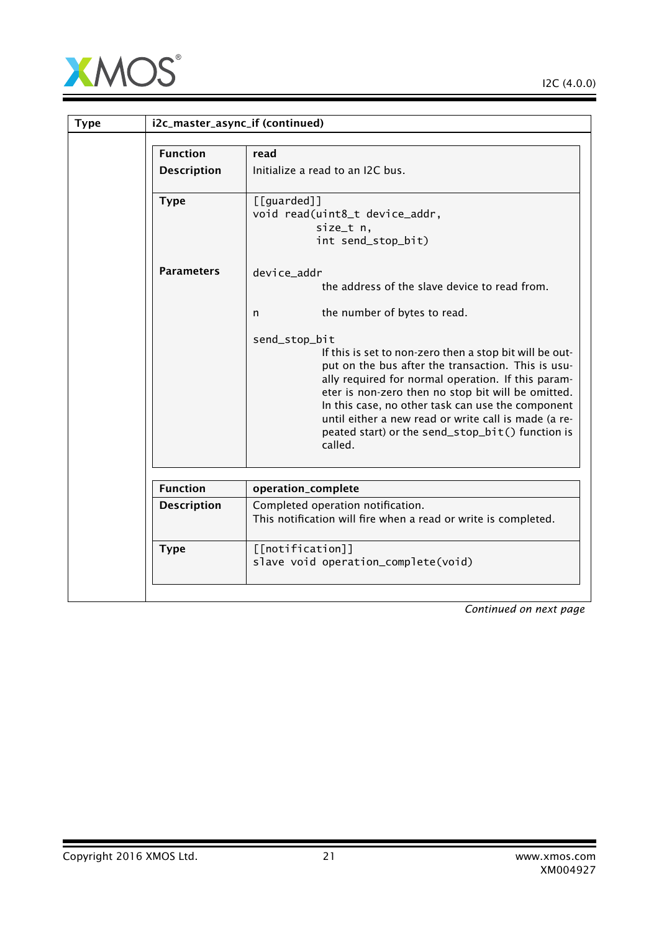

I2C (4.0.0)

| <b>Type</b>        | i2c_master_async_if (continued)                                                                                                                                                                                                                                                                                                                                                                                        |
|--------------------|------------------------------------------------------------------------------------------------------------------------------------------------------------------------------------------------------------------------------------------------------------------------------------------------------------------------------------------------------------------------------------------------------------------------|
| <b>Function</b>    | read                                                                                                                                                                                                                                                                                                                                                                                                                   |
| <b>Description</b> | Initialize a read to an I2C bus.                                                                                                                                                                                                                                                                                                                                                                                       |
| <b>Type</b>        | [[guarded]]<br>void read(uint8_t device_addr,<br>size_t n,<br>int send_stop_bit)                                                                                                                                                                                                                                                                                                                                       |
| <b>Parameters</b>  | device_addr<br>the address of the slave device to read from.                                                                                                                                                                                                                                                                                                                                                           |
|                    | the number of bytes to read.<br>n                                                                                                                                                                                                                                                                                                                                                                                      |
|                    | send_stop_bit<br>If this is set to non-zero then a stop bit will be out-<br>put on the bus after the transaction. This is usu-<br>ally required for normal operation. If this param-<br>eter is non-zero then no stop bit will be omitted.<br>In this case, no other task can use the component<br>until either a new read or write call is made (a re-<br>peated start) or the send_stop_bit() function is<br>called. |
| <b>Function</b>    | operation_complete                                                                                                                                                                                                                                                                                                                                                                                                     |
| <b>Description</b> | Completed operation notification.<br>This notification will fire when a read or write is completed.                                                                                                                                                                                                                                                                                                                    |
| <b>Type</b>        | [[notification]]<br>slave void operation_complete(void)                                                                                                                                                                                                                                                                                                                                                                |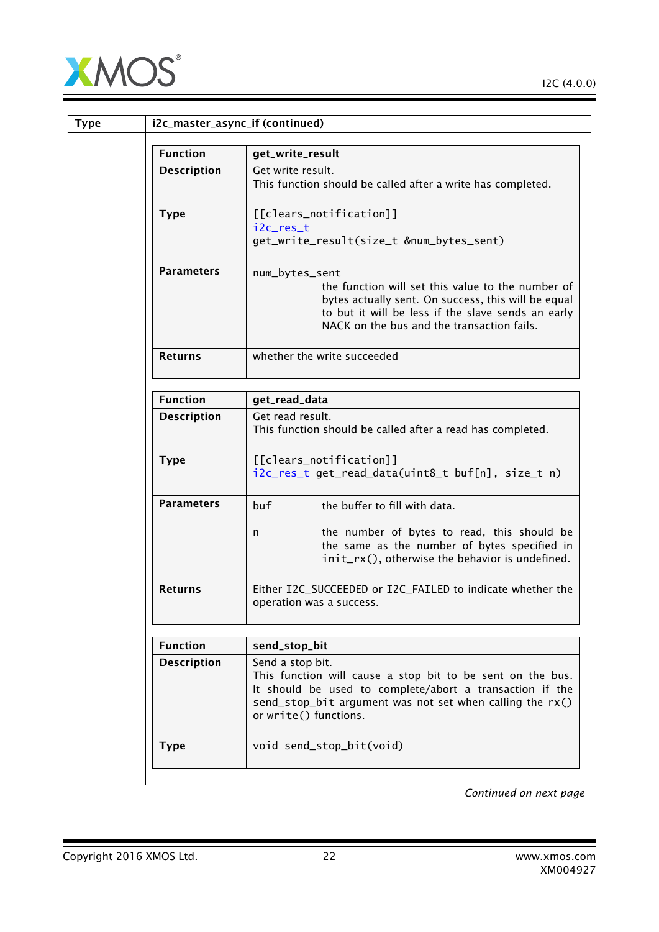

| <b>Type</b> |                    | i2c_master_async_if (continued)                                                                                                                                                                                                |
|-------------|--------------------|--------------------------------------------------------------------------------------------------------------------------------------------------------------------------------------------------------------------------------|
|             | <b>Function</b>    | get_write_result                                                                                                                                                                                                               |
|             | <b>Description</b> | Get write result.<br>This function should be called after a write has completed.                                                                                                                                               |
|             | <b>Type</b>        | [[clears_notification]]<br>i2c_res_t<br>get_write_result(size_t #_bytes_sent)                                                                                                                                                  |
|             | <b>Parameters</b>  | num_bytes_sent<br>the function will set this value to the number of<br>bytes actually sent. On success, this will be equal<br>to but it will be less if the slave sends an early<br>NACK on the bus and the transaction fails. |
|             | <b>Returns</b>     | whether the write succeeded                                                                                                                                                                                                    |
|             | <b>Function</b>    | get_read_data                                                                                                                                                                                                                  |
|             | <b>Description</b> | Get read result.<br>This function should be called after a read has completed.                                                                                                                                                 |
|             | <b>Type</b>        | [[clears_notification]]<br>i2c_res_t get_read_data(uint8_t buf[n], size_t n)                                                                                                                                                   |
|             | <b>Parameters</b>  | the buffer to fill with data.<br>buf                                                                                                                                                                                           |
|             |                    | the number of bytes to read, this should be<br>n<br>the same as the number of bytes specified in<br>init_rx(), otherwise the behavior is undefined.                                                                            |
|             | <b>Returns</b>     | Either I2C_SUCCEEDED or I2C_FAILED to indicate whether the<br>operation was a success.                                                                                                                                         |
|             | <b>Function</b>    | send_stop_bit                                                                                                                                                                                                                  |
|             | <b>Description</b> | Send a stop bit.                                                                                                                                                                                                               |
|             |                    | This function will cause a stop bit to be sent on the bus.<br>It should be used to complete/abort a transaction if the<br>send_stop_bit argument was not set when calling the $rx()$<br>or write() functions.                  |
|             | <b>Type</b>        | void send_stop_bit(void)                                                                                                                                                                                                       |
|             |                    |                                                                                                                                                                                                                                |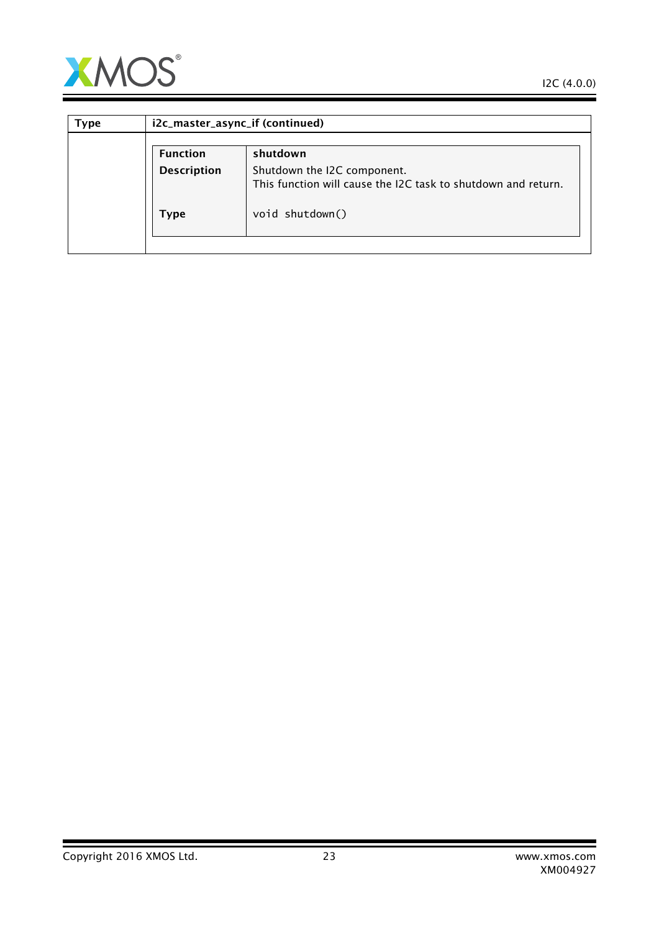

 $\overline{\phantom{a}}$ 

| Type | i2c_master_async_if (continued) |                                                                                              |
|------|---------------------------------|----------------------------------------------------------------------------------------------|
|      | <b>Function</b>                 | shutdown                                                                                     |
|      | <b>Description</b>              | Shutdown the I2C component.<br>This function will cause the I2C task to shutdown and return. |
|      | Type                            | void shutdown()                                                                              |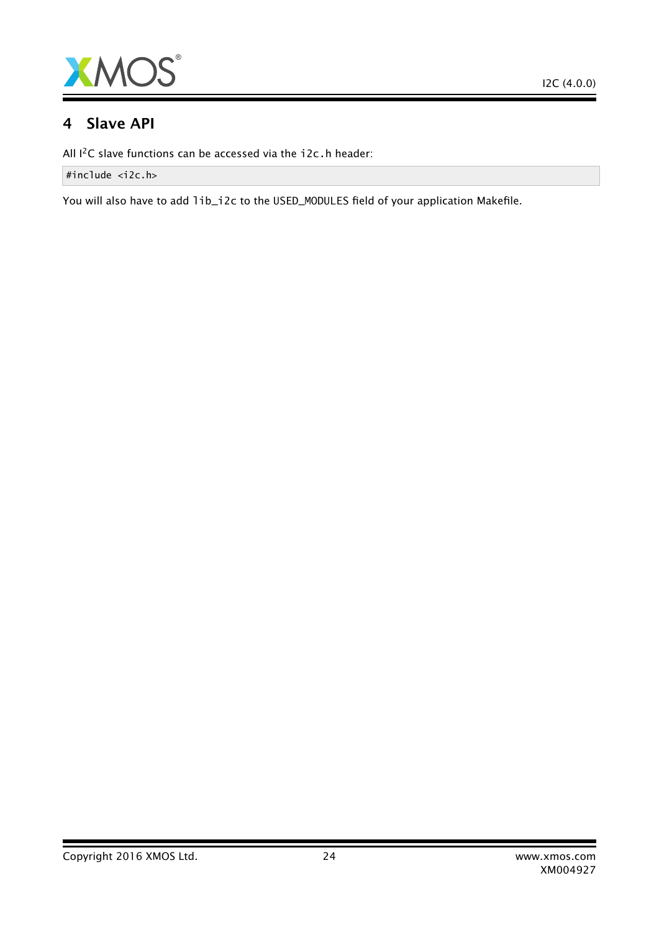

## 4 Slave API

All I<sup>2</sup>C slave functions can be accessed via the i2c.h header:

#include <i2c.h>

You will also have to add lib\_i2c to the USED\_MODULES field of your application Makefile.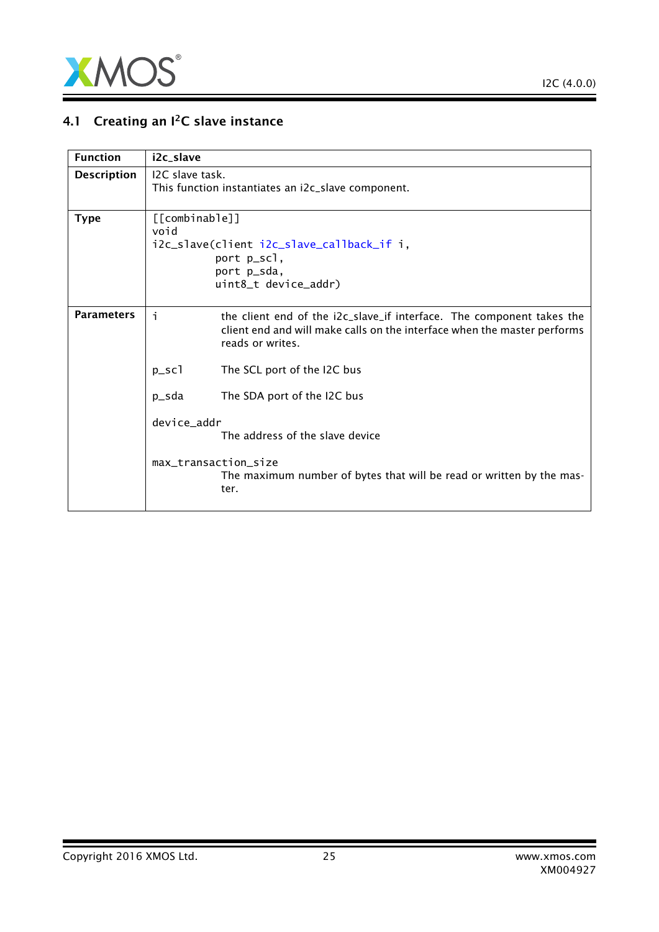

## 4.1 Creating an  $I^2C$  slave instance

| <b>Function</b>    | i2c_slave                                                                                                                                                                   |  |
|--------------------|-----------------------------------------------------------------------------------------------------------------------------------------------------------------------------|--|
| <b>Description</b> | I <sub>2</sub> C slave task.<br>This function instantiates an i2c_slave component.                                                                                          |  |
| <b>Type</b>        | [[combinable]]<br>void<br>i2c_slave(client i2c_slave_callback_if i,<br>port p_scl,<br>port p_sda,<br>uint8_t device_addr)                                                   |  |
| <b>Parameters</b>  | i.<br>the client end of the i2c_slave_if interface. The component takes the<br>client end and will make calls on the interface when the master performs<br>reads or writes. |  |
|                    | $p\_sc1$<br>The SCL port of the I2C bus                                                                                                                                     |  |
|                    | The SDA port of the I2C bus<br>p_sda                                                                                                                                        |  |
|                    | device_addr<br>The address of the slave device                                                                                                                              |  |
|                    | max_transaction_size<br>The maximum number of bytes that will be read or written by the mas-<br>ter.                                                                        |  |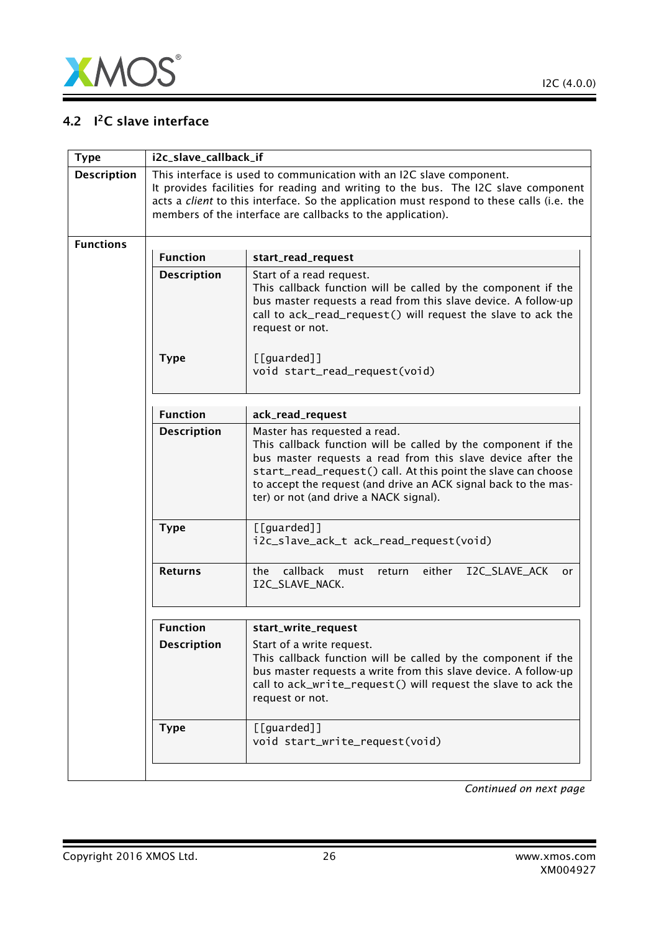

## 4.2 I<sup>2</sup>C slave interface

<span id="page-25-0"></span>

| <b>Type</b>        | i2c_slave_callback_if |                                                                                                                                                                                                                                                                                                                                            |
|--------------------|-----------------------|--------------------------------------------------------------------------------------------------------------------------------------------------------------------------------------------------------------------------------------------------------------------------------------------------------------------------------------------|
| <b>Description</b> |                       | This interface is used to communication with an I2C slave component.<br>It provides facilities for reading and writing to the bus. The I2C slave component<br>acts a <i>client</i> to this interface. So the application must respond to these calls (i.e. the<br>members of the interface are callbacks to the application).              |
| <b>Functions</b>   | <b>Function</b>       | start_read_request                                                                                                                                                                                                                                                                                                                         |
|                    | <b>Description</b>    | Start of a read request.<br>This callback function will be called by the component if the<br>bus master requests a read from this slave device. A follow-up<br>call to ack_read_request() will request the slave to ack the<br>request or not.                                                                                             |
|                    | <b>Type</b>           | [[guarded]]<br>void start_read_request(void)                                                                                                                                                                                                                                                                                               |
|                    | <b>Function</b>       | ack_read_request                                                                                                                                                                                                                                                                                                                           |
|                    | <b>Description</b>    | Master has requested a read.<br>This callback function will be called by the component if the<br>bus master requests a read from this slave device after the<br>start_read_request() call. At this point the slave can choose<br>to accept the request (and drive an ACK signal back to the mas-<br>ter) or not (and drive a NACK signal). |
|                    | <b>Type</b>           | [[guarded]]<br>i2c_slave_ack_t ack_read_request(void)                                                                                                                                                                                                                                                                                      |
|                    | <b>Returns</b>        | callback<br>I2C_SLAVE_ACK<br>the<br>must<br>either<br>return<br>or.<br>I2C_SLAVE_NACK.                                                                                                                                                                                                                                                     |
|                    | <b>Function</b>       | start_write_request                                                                                                                                                                                                                                                                                                                        |
|                    | <b>Description</b>    | Start of a write request.<br>This callback function will be called by the component if the<br>bus master requests a write from this slave device. A follow-up<br>call to ack_write_request() will request the slave to ack the<br>request or not.                                                                                          |
|                    | <b>Type</b>           | [[guarded]]<br>void start_write_request(void)                                                                                                                                                                                                                                                                                              |
|                    |                       |                                                                                                                                                                                                                                                                                                                                            |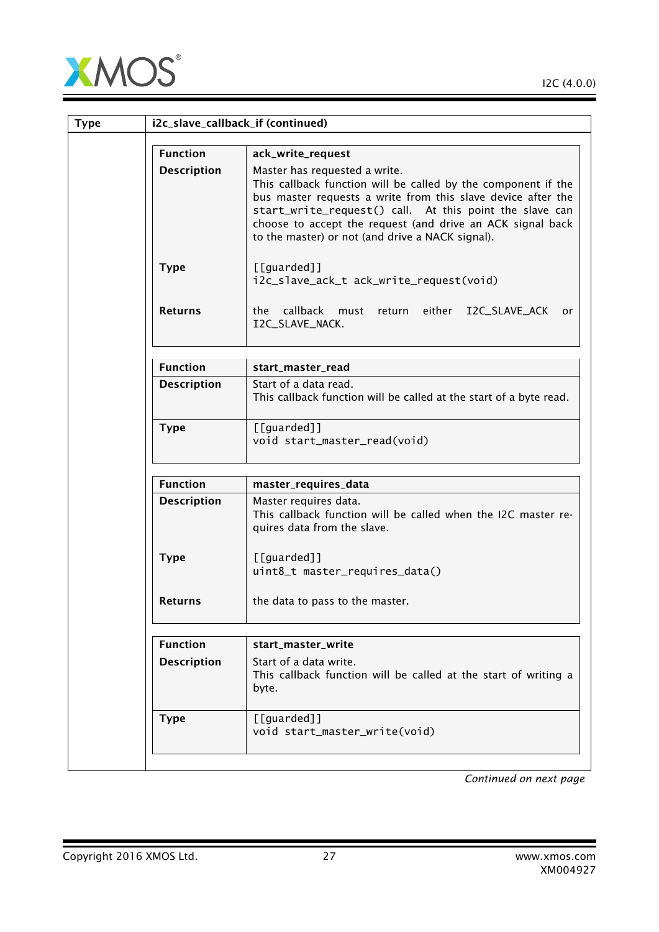

|                    | i2c_slave_callback_if (continued)                                                                                                                                                                                                                                                                                                           |  |
|--------------------|---------------------------------------------------------------------------------------------------------------------------------------------------------------------------------------------------------------------------------------------------------------------------------------------------------------------------------------------|--|
| <b>Function</b>    | ack_write_request                                                                                                                                                                                                                                                                                                                           |  |
| <b>Description</b> | Master has requested a write.<br>This callback function will be called by the component if the<br>bus master requests a write from this slave device after the<br>start_write_request() call. At this point the slave can<br>choose to accept the request (and drive an ACK signal back<br>to the master) or not (and drive a NACK signal). |  |
| <b>Type</b>        | [[guarded]]<br>i2c_slave_ack_t ack_write_request(void)                                                                                                                                                                                                                                                                                      |  |
| <b>Returns</b>     | callback<br>the<br>either<br>I2C_SLAVE_ACK<br>must<br>return<br>or<br>I2C_SLAVE_NACK.                                                                                                                                                                                                                                                       |  |
| <b>Function</b>    | start_master_read                                                                                                                                                                                                                                                                                                                           |  |
| <b>Description</b> | Start of a data read.<br>This callback function will be called at the start of a byte read.                                                                                                                                                                                                                                                 |  |
| <b>Type</b>        | [[guarded]]<br>void start_master_read(void)                                                                                                                                                                                                                                                                                                 |  |
| <b>Function</b>    | master_requires_data                                                                                                                                                                                                                                                                                                                        |  |
| <b>Description</b> | Master requires data.<br>This callback function will be called when the I2C master re-<br>quires data from the slave.                                                                                                                                                                                                                       |  |
| <b>Type</b>        | [[guarded]]<br>uint8_t master_requires_data()                                                                                                                                                                                                                                                                                               |  |
| <b>Returns</b>     | the data to pass to the master.                                                                                                                                                                                                                                                                                                             |  |
| <b>Function</b>    | start_master_write                                                                                                                                                                                                                                                                                                                          |  |
| <b>Description</b> | Start of a data write.<br>This callback function will be called at the start of writing a<br>byte.                                                                                                                                                                                                                                          |  |
|                    | [[guarded]]                                                                                                                                                                                                                                                                                                                                 |  |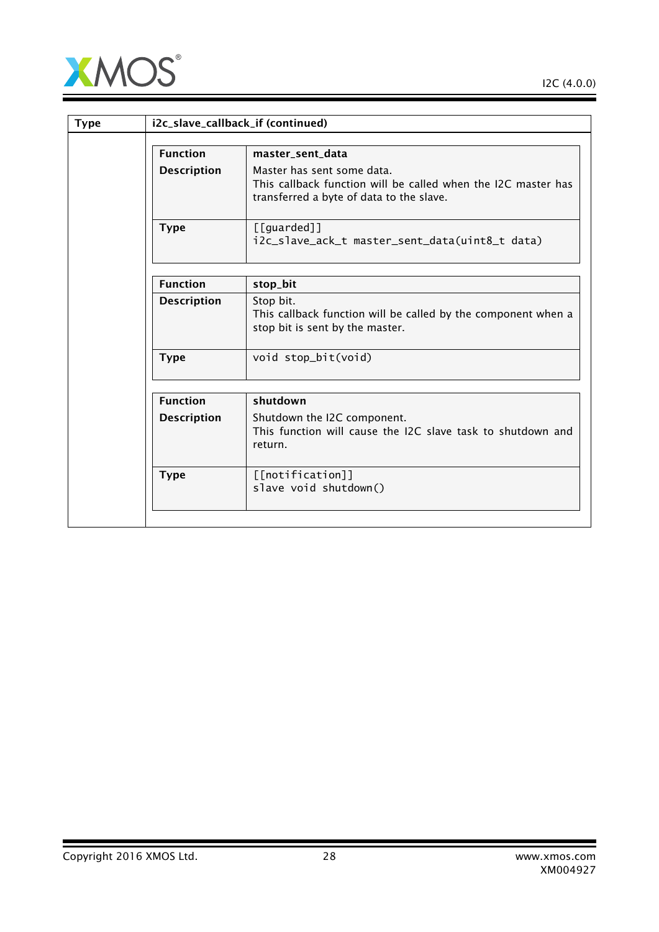

| <b>Type</b> |                    | i2c_slave_callback_if (continued)                                                                                                       |
|-------------|--------------------|-----------------------------------------------------------------------------------------------------------------------------------------|
|             | <b>Function</b>    | master_sent_data                                                                                                                        |
|             | <b>Description</b> | Master has sent some data.<br>This callback function will be called when the I2C master has<br>transferred a byte of data to the slave. |
|             | <b>Type</b>        | $[$ [guarded]]<br>i2c_slave_ack_t master_sent_data(uint8_t data)                                                                        |
|             | <b>Function</b>    | stop_bit                                                                                                                                |
|             | <b>Description</b> | Stop bit.<br>This callback function will be called by the component when a<br>stop bit is sent by the master.                           |
|             | <b>Type</b>        | void stop_bit(void)                                                                                                                     |
|             | <b>Function</b>    | shutdown                                                                                                                                |
|             | <b>Description</b> | Shutdown the I2C component.<br>This function will cause the I2C slave task to shutdown and<br>return.                                   |
|             | <b>Type</b>        | [[notification]]<br>slave void shutdown()                                                                                               |
|             |                    |                                                                                                                                         |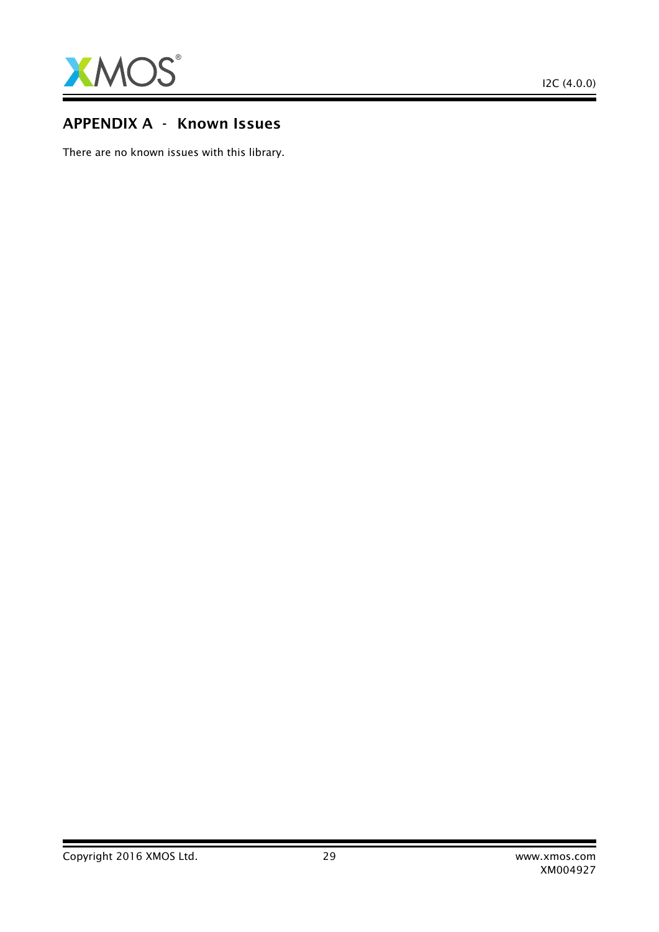

## APPENDIX A - Known Issues

There are no known issues with this library.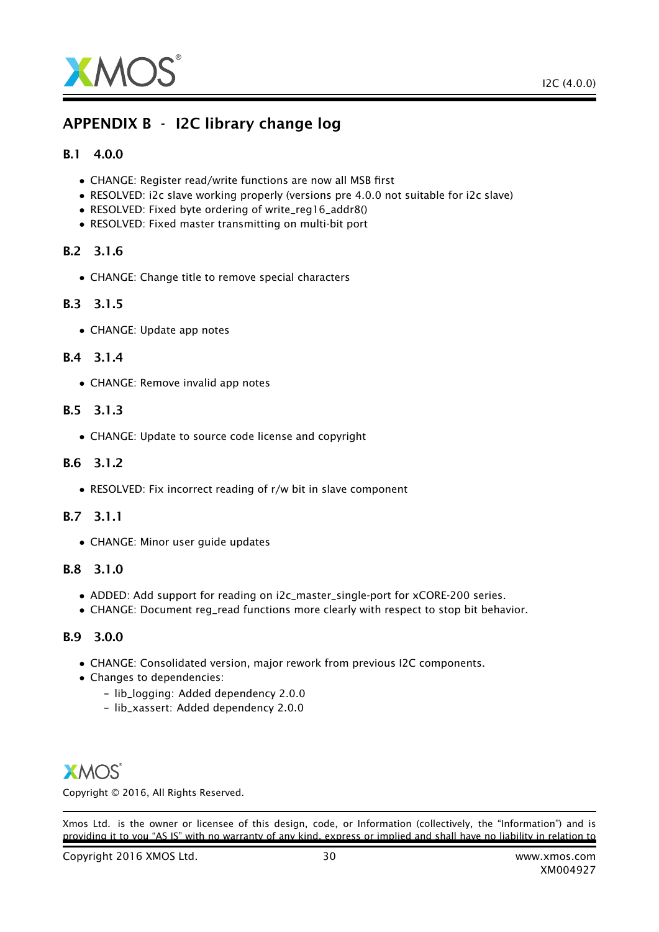

## APPENDIX B - I2C library change log

#### B.1 4.0.0

- CHANGE: Register read/write functions are now all MSB first
- RESOLVED: i2c slave working properly (versions pre 4.0.0 not suitable for i2c slave)
- RESOLVED: Fixed byte ordering of write\_reg16\_addr8()
- RESOLVED: Fixed master transmitting on multi-bit port

#### B.2 3.1.6

• CHANGE: Change title to remove special characters

#### B.3 3.1.5

• CHANGE: Update app notes

#### B.4 3.1.4

• CHANGE: Remove invalid app notes

#### B.5 3.1.3

• CHANGE: Update to source code license and copyright

#### B.6 3.1.2

• RESOLVED: Fix incorrect reading of r/w bit in slave component

#### B.7 3.1.1

• CHANGE: Minor user guide updates

#### B.8 3.1.0

- ADDED: Add support for reading on i2c\_master\_single-port for xCORE-200 series.
- CHANGE: Document reg\_read functions more clearly with respect to stop bit behavior.

## B.9 3.0.0

- CHANGE: Consolidated version, major rework from previous I2C components.
- Changes to dependencies:
	- lib\_logging: Added dependency 2.0.0
	- lib\_xassert: Added dependency 2.0.0

## **XMOS**

Copyright © 2016, All Rights Reserved.

Xmos Ltd. is the owner or licensee of this design, code, or Information (collectively, the "Information") and is providing it to you "AS IS" with no warranty of any kind, express or implied and shall have no liability in relation to